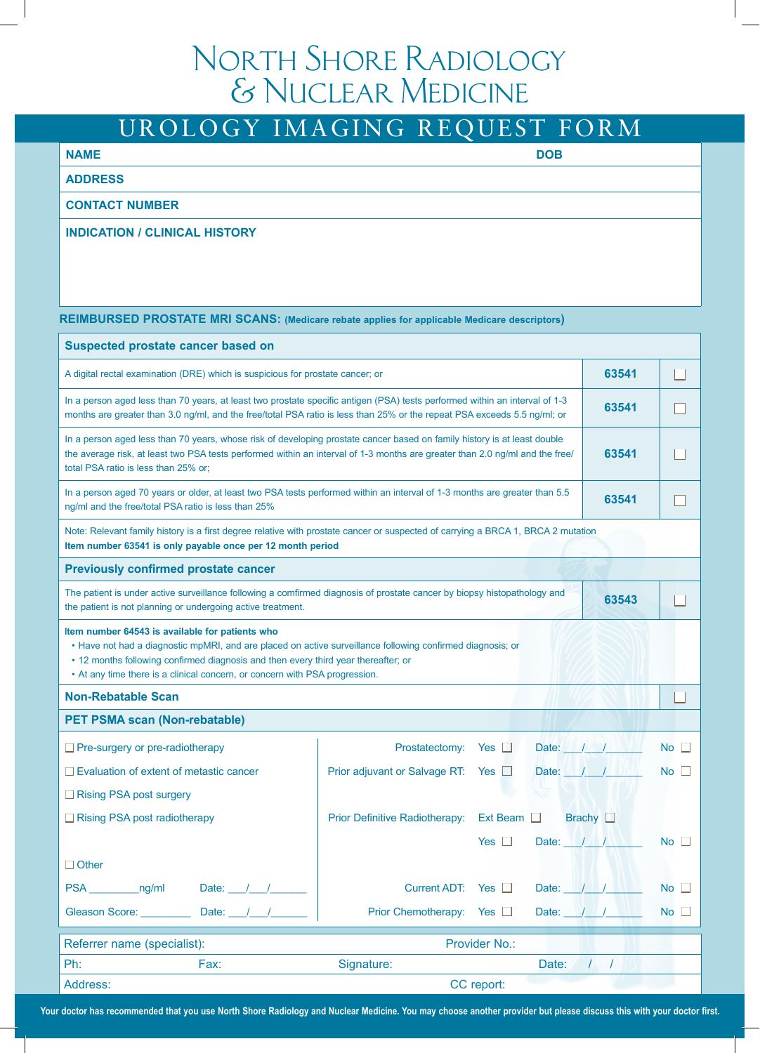# North Shore Radiology & Nuclear Medicine

## UROLOGY IMAGING REQUEST FORM

### **NAME** DOB **DOB**

### **ADDRESS**

### **CONTACT NUMBER**

### **INDICATION / CLINICAL HISTORY**

#### **REIMBURSED PROSTATE MRI SCANS: (Medicare rebate applies for applicable Medicare descriptors)**

| <b>Suspected prostate cancer based on</b>                                                                                                                                                                                                                                                                                          |                                |                 |                              |             |  |  |
|------------------------------------------------------------------------------------------------------------------------------------------------------------------------------------------------------------------------------------------------------------------------------------------------------------------------------------|--------------------------------|-----------------|------------------------------|-------------|--|--|
| 63541<br>A digital rectal examination (DRE) which is suspicious for prostate cancer; or                                                                                                                                                                                                                                            |                                |                 |                              |             |  |  |
| In a person aged less than 70 years, at least two prostate specific antigen (PSA) tests performed within an interval of 1-3<br>63541<br>months are greater than 3.0 ng/ml, and the free/total PSA ratio is less than 25% or the repeat PSA exceeds 5.5 ng/ml; or                                                                   |                                |                 |                              |             |  |  |
| In a person aged less than 70 years, whose risk of developing prostate cancer based on family history is at least double<br>the average risk, at least two PSA tests performed within an interval of 1-3 months are greater than 2.0 ng/ml and the free/<br>63541<br>total PSA ratio is less than 25% or;                          |                                |                 |                              |             |  |  |
| In a person aged 70 years or older, at least two PSA tests performed within an interval of 1-3 months are greater than 5.5<br>63541<br>ng/ml and the free/total PSA ratio is less than 25%                                                                                                                                         |                                |                 |                              |             |  |  |
| Note: Relevant family history is a first degree relative with prostate cancer or suspected of carrying a BRCA 1, BRCA 2 mutation<br>Item number 63541 is only payable once per 12 month period                                                                                                                                     |                                |                 |                              |             |  |  |
| <b>Previously confirmed prostate cancer</b>                                                                                                                                                                                                                                                                                        |                                |                 |                              |             |  |  |
| The patient is under active surveillance following a comfirmed diagnosis of prostate cancer by biopsy histopathology and<br>63543<br>the patient is not planning or undergoing active treatment.                                                                                                                                   |                                |                 |                              |             |  |  |
| Item number 64543 is available for patients who<br>• Have not had a diagnostic mpMRI, and are placed on active surveillance following confirmed diagnosis; or<br>• 12 months following confirmed diagnosis and then every third year thereafter; or<br>• At any time there is a clinical concern, or concern with PSA progression. |                                |                 |                              |             |  |  |
| <b>Non-Rebatable Scan</b>                                                                                                                                                                                                                                                                                                          |                                |                 |                              |             |  |  |
| <b>PET PSMA scan (Non-rebatable)</b>                                                                                                                                                                                                                                                                                               |                                |                 |                              |             |  |  |
| $\Box$ Pre-surgery or pre-radiotherapy                                                                                                                                                                                                                                                                                             | Prostatectomy:                 | $Yes$ $\Box$    | Date: $        $ $  $ $  $   | $No$ $\Box$ |  |  |
| $\Box$ Evaluation of extent of metastic cancer                                                                                                                                                                                                                                                                                     | Prior adjuvant or Salvage RT:  | Yes $\Box$      | Date: $\mathbb{N}$ / / / / / | No          |  |  |
| $\Box$ Rising PSA post surgery                                                                                                                                                                                                                                                                                                     |                                |                 |                              |             |  |  |
| Rising PSA post radiotherapy                                                                                                                                                                                                                                                                                                       | Prior Definitive Radiotherapy: | Ext Beam $\Box$ | Brachy $\square$             |             |  |  |
|                                                                                                                                                                                                                                                                                                                                    |                                | Yes $  $        | Date: $1/4$ / $1/4$          | No.         |  |  |
| $\Box$ Other                                                                                                                                                                                                                                                                                                                       |                                |                 |                              |             |  |  |
| PSA ng/ml<br>Date: /                                                                                                                                                                                                                                                                                                               | Current ADT: Yes □             |                 | Date: $\ I\ $                | No          |  |  |
| Date: $1/2$<br>Gleason Score:                                                                                                                                                                                                                                                                                                      | Prior Chemotherapy: Yes □      |                 | Date: $1/1$                  | No          |  |  |
| Provider No.:<br>Referrer name (specialist):                                                                                                                                                                                                                                                                                       |                                |                 |                              |             |  |  |
| Ph:<br>Fax:                                                                                                                                                                                                                                                                                                                        | Signature:                     | Date:           | $\prime$<br>$\prime$         |             |  |  |
| Address:                                                                                                                                                                                                                                                                                                                           | CC report:                     |                 |                              |             |  |  |

**Your doctor has recommended that you use North Shore Radiology and Nuclear Medicine. You may choose another provider but please discuss this with your doctor first.**